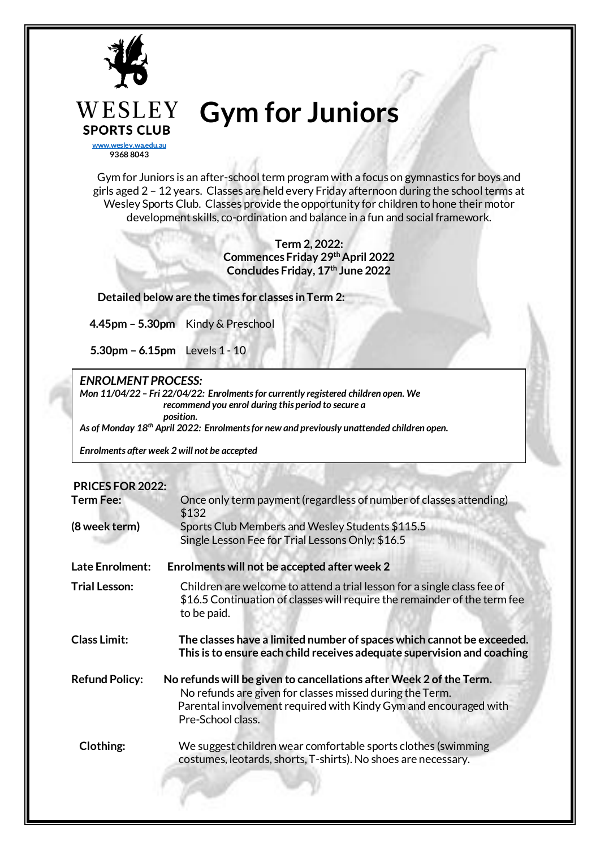

**[www.wesley.wa.edu.au](http://www.wesley.wa.edu.au/) 9368 8043**

**SPORTS CLUB** 

# **Gym for Juniors**

Gym for Juniors is an after-school term program with a focus on gymnastics for boys and girls aged 2 – 12 years. Classes are held every Friday afternoon during the school terms at Wesley Sports Club. Classes provide the opportunity for children to hone their motor development skills, co-ordination and balance in a fun and social framework.

> **Term 2, 2022: Commences Friday 29thApril 2022 Concludes Friday, 17th June 2022**

 **Detailed below are the times for classes in Term 2:**

**4.45pm – 5.30pm** Kindy & Preschool

**5.30pm – 6.15pm** Levels 1 - 10

### *ENROLMENT PROCESS:*

*Mon 11/04/22 – Fri 22/04/22: Enrolments for currently registered children open. We recommend you enrol during this period to secure a position.*

*As of Monday 18th April 2022: Enrolments for new and previously unattended children open.*

*Enrolments after week 2 will not be accepted*

#### **PRICES FOR 2022:**

| <b>Term Fee:</b>       | Once only term payment (regardless of number of classes attending)<br>\$132                                                                                                                                              |  |  |  |  |
|------------------------|--------------------------------------------------------------------------------------------------------------------------------------------------------------------------------------------------------------------------|--|--|--|--|
| (8 week term)          | Sports Club Members and Wesley Students \$115.5<br>Single Lesson Fee for Trial Lessons Only: \$16.5                                                                                                                      |  |  |  |  |
| <b>Late Enrolment:</b> | Enrolments will not be accepted after week 2                                                                                                                                                                             |  |  |  |  |
| <b>Trial Lesson:</b>   | Children are welcome to attend a trial lesson for a single class fee of<br>\$16.5 Continuation of classes will require the remainder of the term fee<br>to be paid.                                                      |  |  |  |  |
| <b>Class Limit:</b>    | The classes have a limited number of spaces which cannot be exceeded.<br>This is to ensure each child receives adequate supervision and coaching                                                                         |  |  |  |  |
| <b>Refund Policy:</b>  | No refunds will be given to cancellations after Week 2 of the Term.<br>No refunds are given for classes missed during the Term.<br>Parental involvement required with Kindy Gym and encouraged with<br>Pre-School class. |  |  |  |  |
| Clothing:              | We suggest children wear comfortable sports clothes (swimming<br>costumes, leotards, shorts, T-shirts). No shoes are necessary.                                                                                          |  |  |  |  |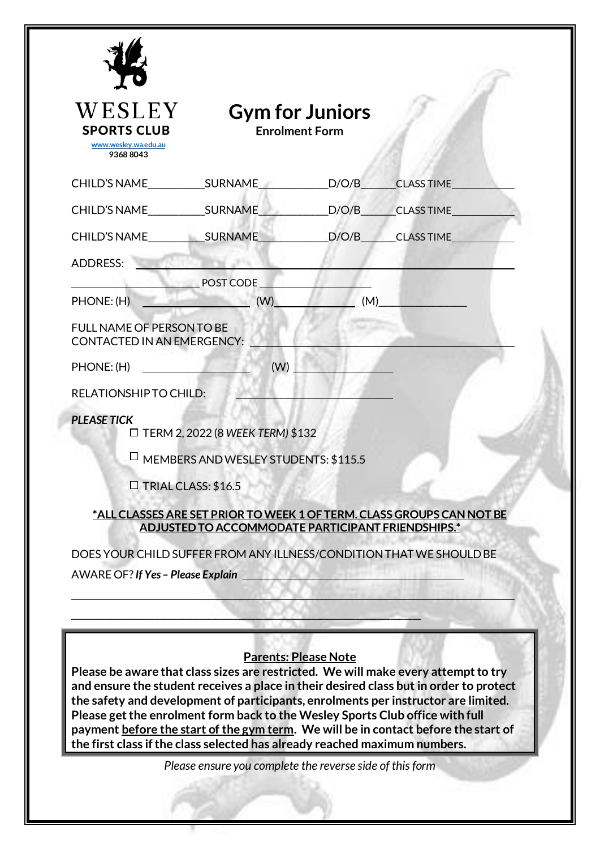| WESLEY                                                                                                                                                      |                                                          | <b>Gym for Juniors</b>      |                                                                                                                                                                                                                                                                                                                                                           |
|-------------------------------------------------------------------------------------------------------------------------------------------------------------|----------------------------------------------------------|-----------------------------|-----------------------------------------------------------------------------------------------------------------------------------------------------------------------------------------------------------------------------------------------------------------------------------------------------------------------------------------------------------|
| <b>SPORTS CLUB</b><br>www.weslev.wa.edu.au<br>93688043                                                                                                      |                                                          | <b>Enrolment Form</b>       |                                                                                                                                                                                                                                                                                                                                                           |
| CHILD'S NAME SURNAME                                                                                                                                        |                                                          | D/O/B                       | <b>CLASS TIME</b>                                                                                                                                                                                                                                                                                                                                         |
| CHILD'S NAME SURNAME                                                                                                                                        |                                                          | D/O/B                       | CLASS TIME                                                                                                                                                                                                                                                                                                                                                |
| CHILD'S NAME SURNAME                                                                                                                                        |                                                          | D/O/B                       | <b>CLASS TIME</b>                                                                                                                                                                                                                                                                                                                                         |
| ADDRESS:                                                                                                                                                    |                                                          |                             |                                                                                                                                                                                                                                                                                                                                                           |
|                                                                                                                                                             | POST CODE                                                |                             |                                                                                                                                                                                                                                                                                                                                                           |
| PHONE: (H)<br><b>FULL NAME OF PERSON TO BE</b>                                                                                                              | (W)                                                      | (M)                         |                                                                                                                                                                                                                                                                                                                                                           |
| <b>CONTACTED IN AN EMERGENCY:</b>                                                                                                                           |                                                          |                             |                                                                                                                                                                                                                                                                                                                                                           |
| PHONE: (H)                                                                                                                                                  | (W)                                                      |                             |                                                                                                                                                                                                                                                                                                                                                           |
| RELATIONSHIP TO CHILD:                                                                                                                                      |                                                          |                             |                                                                                                                                                                                                                                                                                                                                                           |
| <b>PLEASE TICK</b>                                                                                                                                          | $\Box$ TERM 2, 2022 (8 WEEK TERM) \$132                  |                             |                                                                                                                                                                                                                                                                                                                                                           |
|                                                                                                                                                             | MEMBERS AND WESLEY STUDENTS: \$115.5                     |                             |                                                                                                                                                                                                                                                                                                                                                           |
| $\Box$ TRIAL CLASS: \$16.5                                                                                                                                  |                                                          |                             |                                                                                                                                                                                                                                                                                                                                                           |
|                                                                                                                                                             | ADJUSTED TO ACCOMMODATE PARTICIPANT FRIENDSHIPS.*        |                             | *ALL CLASSES ARE SET PRIOR TO WEEK 1 OF TERM. CLASS GROUPS CAN NOT BE                                                                                                                                                                                                                                                                                     |
| DOES YOUR CHILD SUFFER FROM ANY ILLNESS/CONDITION THAT WE SHOULD BE                                                                                         |                                                          |                             |                                                                                                                                                                                                                                                                                                                                                           |
| AWARE OF? If Yes - Please Explain                                                                                                                           |                                                          |                             |                                                                                                                                                                                                                                                                                                                                                           |
|                                                                                                                                                             |                                                          |                             |                                                                                                                                                                                                                                                                                                                                                           |
|                                                                                                                                                             |                                                          |                             |                                                                                                                                                                                                                                                                                                                                                           |
| Please get the enrolment form back to the Wesley Sports Club office with full<br>the first class if the class selected has already reached maximum numbers. |                                                          | <b>Parents: Please Note</b> | Please be aware that class sizes are restricted. We will make every attempt to try<br>and ensure the student receives a place in their desired class but in order to protect<br>the safety and development of participants, enrolments per instructor are limited.<br>payment before the start of the gym term. We will be in contact before the start of |
|                                                                                                                                                             | Please ensure you complete the reverse side of this form |                             |                                                                                                                                                                                                                                                                                                                                                           |
|                                                                                                                                                             |                                                          |                             |                                                                                                                                                                                                                                                                                                                                                           |